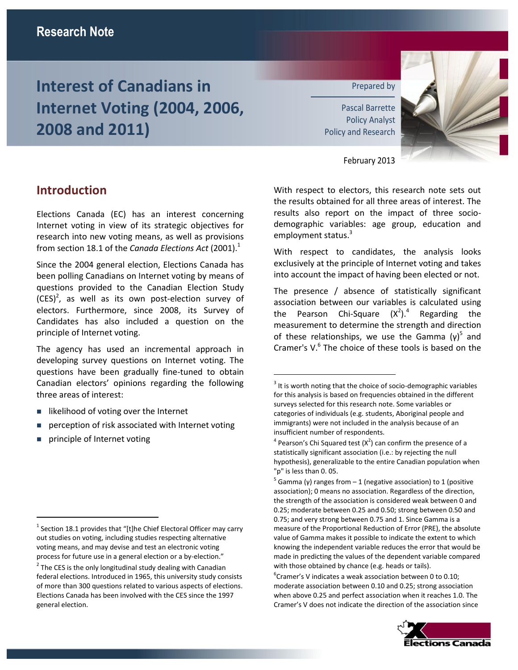# **Interest of Canadians in Internet Voting (2004, 2006, 2008 and 2011)**

Prepared by

Pascal Barrette Policy Analyst Policy and Research



February 2013

### **Introduction**

Elections Canada (EC) has an interest concerning Internet voting in view of its strategic objectives for research into new voting means, as well as provisions from section 18.1 of the *Canada Elections Act* (2001).<sup>1</sup>

Since the 2004 general election, Elections Canada has been polling Canadians on Internet voting by means of questions provided to the Canadian Election Study  $(CES)^2$ , as well as its own post-election survey of electors. Furthermore, since 2008, its Survey of Candidates has also included a question on the principle of Internet voting.

The agency has used an incremental approach in developing survey questions on Internet voting. The questions have been gradually fine-tuned to obtain Canadian electors' opinions regarding the following three areas of interest:

- likelihood of voting over the Internet
- **Paramers** perception of risk associated with Internet voting
- **principle of Internet voting**

 $\overline{a}$ 

With respect to electors, this research note sets out the results obtained for all three areas of interest. The results also report on the impact of three sociodemographic variables: age group, education and employment status.<sup>3</sup>

With respect to candidates, the analysis looks exclusively at the principle of Internet voting and takes into account the impact of having been elected or not.

The presence / absence of statistically significant association between our variables is calculated using the Pearson Chi-Square  $(X^2)$ .<sup>4</sup> Regarding the measurement to determine the strength and direction of these relationships, we use the Gamma  $(γ)^5$  and Cramer's V.<sup>6</sup> The choice of these tools is based on the

 $\overline{a}$ 

 ${}^{6}$ Cramer's V indicates a weak association between 0 to 0.10; moderate association between 0.10 and 0.25; strong association when above 0.25 and perfect association when it reaches 1.0. The Cramer's V does not indicate the direction of the association since



 $^{1}$  Section 18.1 provides that "[t]he Chief Electoral Officer may carry out studies on voting, including studies respecting alternative voting means, and may devise and test an electronic voting process for future use in a general election or a by-election."

 $2$  The CES is the only longitudinal study dealing with Canadian federal elections. Introduced in 1965, this university study consists of more than 300 questions related to various aspects of elections. Elections Canada has been involved with the CES since the 1997 general election.

 $3$  It is worth noting that the choice of socio-demographic variables for this analysis is based on frequencies obtained in the different surveys selected for this research note. Some variables or categories of individuals (e.g. students, Aboriginal people and immigrants) were not included in the analysis because of an insufficient number of respondents.

 $4$  Pearson's Chi Squared test  $(X^2)$  can confirm the presence of a statistically significant association (i.e.: by rejecting the null hypothesis), generalizable to the entire Canadian population when "p" is less than 0. 05.

<sup>&</sup>lt;sup>5</sup> Gamma (γ) ranges from – 1 (negative association) to 1 (positive association); 0 means no association. Regardless of the direction, the strength of the association is considered weak between 0 and 0.25; moderate between 0.25 and 0.50; strong between 0.50 and 0.75; and very strong between 0.75 and 1. Since Gamma is a measure of the Proportional Reduction of Error (PRE), the absolute value of Gamma makes it possible to indicate the extent to which knowing the independent variable reduces the error that would be made in predicting the values of the dependent variable compared with those obtained by chance (e.g. heads or tails).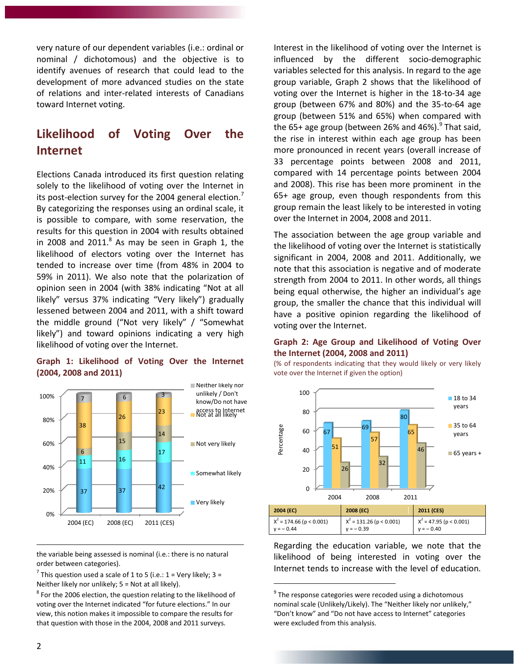very nature of our dependent variables (i.e.: ordinal or nominal / dichotomous) and the objective is to identify avenues of research that could lead to the development of more advanced studies on the state of relations and inter-related interests of Canadians toward Internet voting.

### **Likelihood of Voting Over the Internet**

Elections Canada introduced its first question relating solely to the likelihood of voting over the Internet in its post-election survey for the 2004 general election. $'$ By categorizing the responses using an ordinal scale, it is possible to compare, with some reservation, the results for this question in 2004 with results obtained in 2008 and 2011. $^8$  As may be seen in Graph 1, the likelihood of electors voting over the Internet has tended to increase over time (from 48% in 2004 to 59% in 2011). We also note that the polarization of opinion seen in 2004 (with 38% indicating "Not at all likely" versus 37% indicating "Very likely") gradually lessened between 2004 and 2011, with a shift toward the middle ground ("Not very likely" / "Somewhat likely") and toward opinions indicating a very high likelihood of voting over the Internet.

#### **Graph 1: Likelihood of Voting Over the Internet (2004, 2008 and 2011)**



the variable being assessed is nominal (i.e.: there is no natural order between categories).

<sup>7</sup> This question used a scale of 1 to 5 (i.e.:  $1$  = Very likely;  $3$  = Neither likely nor unlikely; 5 = Not at all likely).

 $^8$  For the 2006 election, the question relating to the likelihood of voting over the Internet indicated "for future elections." In our view, this notion makes it impossible to compare the results for that question with those in the 2004, 2008 and 2011 surveys.

Interest in the likelihood of voting over the Internet is influenced by the different socio-demographic variables selected for this analysis. In regard to the age group variable, Graph 2 shows that the likelihood of voting over the Internet is higher in the 18-to-34 age group (between 67% and 80%) and the 35-to-64 age group (between 51% and 65%) when compared with the 65+ age group (between 26% and 46%).<sup>9</sup> That said, the rise in interest within each age group has been more pronounced in recent years (overall increase of 33 percentage points between 2008 and 2011, compared with 14 percentage points between 2004 and 2008). This rise has been more prominent in the 65+ age group, even though respondents from this group remain the least likely to be interested in voting over the Internet in 2004, 2008 and 2011.

The association between the age group variable and the likelihood of voting over the Internet is statistically significant in 2004, 2008 and 2011. Additionally, we note that this association is negative and of moderate strength from 2004 to 2011. In other words, all things being equal otherwise, the higher an individual's age group, the smaller the chance that this individual will have a positive opinion regarding the likelihood of voting over the Internet.

#### **Graph 2: Age Group and Likelihood of Voting Over the Internet (2004, 2008 and 2011)**

(% of respondents indicating that they would likely or very likely vote over the Internet if given the option)



Regarding the education variable, we note that the likelihood of being interested in voting over the Internet tends to increase with the level of education.

 $\overline{a}$ 

<sup>&</sup>lt;sup>9</sup> The response categories were recoded using a dichotomous nominal scale (Unlikely/Likely). The "Neither likely nor unlikely," "Don't know" and "Do not have access to Internet" categories were excluded from this analysis.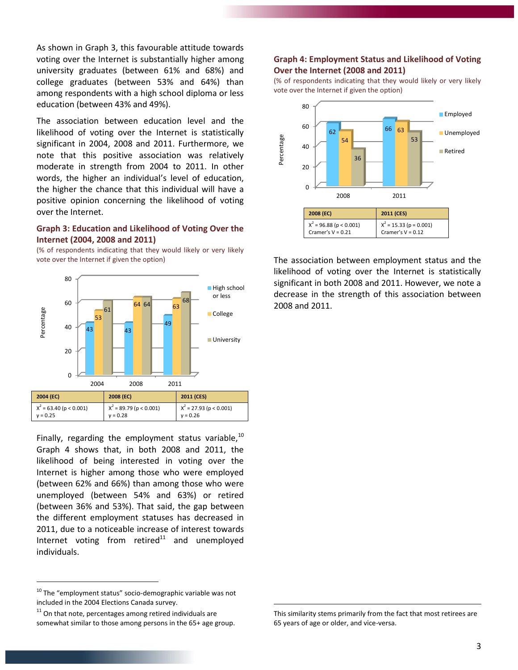As shown in Graph 3, this favourable attitude towards voting over the Internet is substantially higher among university graduates (between 61% and 68%) and college graduates (between 53% and 64%) than among respondents with a high school diploma or less education (between 43% and 49%).

The association between education level and the likelihood of voting over the Internet is statistically significant in 2004, 2008 and 2011. Furthermore, we note that this positive association was relatively moderate in strength from 2004 to 2011. In other words, the higher an individual's level of education, the higher the chance that this individual will have a positive opinion concerning the likelihood of voting over the Internet.

#### **Graph 3: Education and Likelihood of Voting Over the Internet (2004, 2008 and 2011)**

(% of respondents indicating that they would likely or very likely vote over the Internet if given the option)



Finally, regarding the employment status variable,  $10$ Graph 4 shows that, in both 2008 and 2011, the likelihood of being interested in voting over the Internet is higher among those who were employed (between 62% and 66%) than among those who were unemployed (between 54% and 63%) or retired (between 36% and 53%). That said, the gap between the different employment statuses has decreased in 2011, due to a noticeable increase of interest towards Internet voting from retired $11$  and unemployed individuals.

 $\overline{a}$ 

#### **Graph 4: Employment Status and Likelihood of Voting Over the Internet (2008 and 2011)**

(% of respondents indicating that they would likely or very likely vote over the Internet if given the option)



The association between employment status and the likelihood of voting over the Internet is statistically significant in both 2008 and 2011. However, we note a decrease in the strength of this association between 2008 and 2011.

 $10$  The "employment status" socio-demographic variable was not included in the 2004 Elections Canada survey.

 $11$  On that note, percentages among retired individuals are somewhat similar to those among persons in the 65+ age group.

This similarity stems primarily from the fact that most retirees are 65 years of age or older, and vice-versa.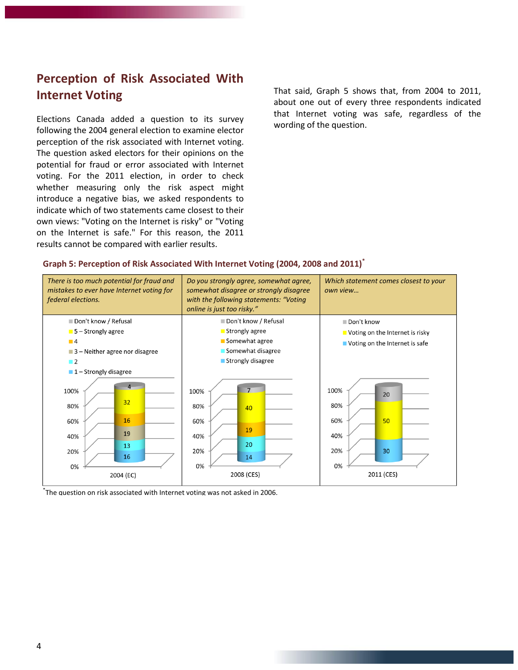# **Perception of Risk Associated With Internet Voting**

Elections Canada added a question to its survey following the 2004 general election to examine elector perception of the risk associated with Internet voting. The question asked electors for their opinions on the potential for fraud or error associated with Internet voting. For the 2011 election, in order to check whether measuring only the risk aspect might introduce a negative bias, we asked respondents to indicate which of two statements came closest to their own views: "Voting on the Internet is risky" or "Voting on the Internet is safe." For this reason, the 2011 results cannot be compared with earlier results.

That said, Graph 5 shows that, from 2004 to 2011, about one out of every three respondents indicated that Internet voting was safe, regardless of the wording of the question.

#### **Graph 5: Perception of Risk Associated With Internet Voting (2004, 2008 and 2011)\***



\* The question on risk associated with Internet voting was not asked in 2006.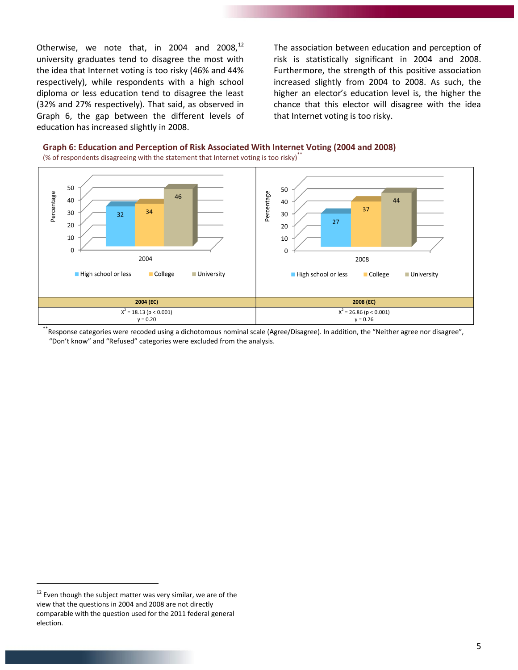Otherwise, we note that, in 2004 and 2008, $^{12}$ university graduates tend to disagree the most with the idea that Internet voting is too risky (46% and 44% respectively), while respondents with a high school diploma or less education tend to disagree the least (32% and 27% respectively). That said, as observed in Graph 6, the gap between the different levels of education has increased slightly in 2008.

The association between education and perception of risk is statistically significant in 2004 and 2008. Furthermore, the strength of this positive association increased slightly from 2004 to 2008. As such, the higher an elector's education level is, the higher the chance that this elector will disagree with the idea that Internet voting is too risky.





<sup>\*</sup>Response categories were recoded using a dichotomous nominal scale (Agree/Disagree). In addition, the "Neither agree nor disagree", "Don't know" and "Refused" categories were excluded from the analysis.

 $12$  Even though the subject matter was very similar, we are of the view that the questions in 2004 and 2008 are not directly comparable with the question used for the 2011 federal general election.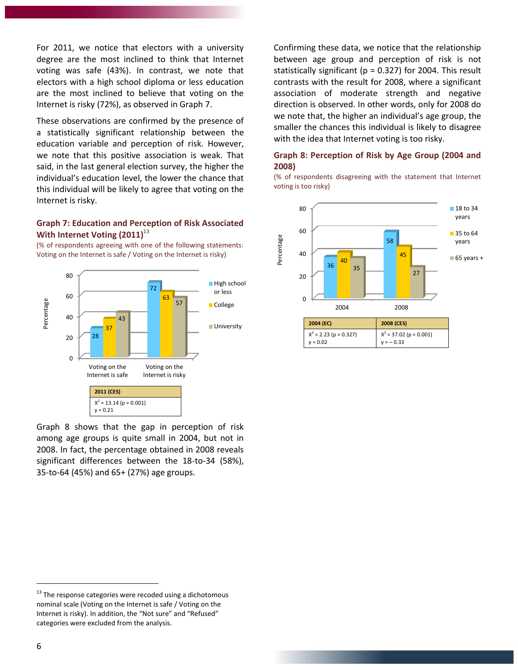For 2011, we notice that electors with a university degree are the most inclined to think that Internet voting was safe (43%). In contrast, we note that electors with a high school diploma or less education are the most inclined to believe that voting on the Internet is risky (72%), as observed in Graph 7.

These observations are confirmed by the presence of a statistically significant relationship between the education variable and perception of risk. However, we note that this positive association is weak. That said, in the last general election survey, the higher the individual's education level, the lower the chance that this individual will be likely to agree that voting on the Internet is risky.

#### **Graph 7: Education and Perception of Risk Associated With Internet Voting (2011)**<sup>13</sup>

(% of respondents agreeing with one of the following statements: Voting on the Internet is safe / Voting on the Internet is risky)



Graph 8 shows that the gap in perception of risk among age groups is quite small in 2004, but not in 2008. In fact, the percentage obtained in 2008 reveals significant differences between the 18-to-34 (58%), 35-to-64 (45%) and 65+ (27%) age groups.

<sup>13</sup> The response categories were recoded using a dichotomous nominal scale (Voting on the Internet is safe / Voting on the Internet is risky). In addition, the "Not sure" and "Refused" categories were excluded from the analysis.

Confirming these data, we notice that the relationship between age group and perception of risk is not statistically significant ( $p = 0.327$ ) for 2004. This result contrasts with the result for 2008, where a significant association of moderate strength and negative direction is observed. In other words, only for 2008 do we note that, the higher an individual's age group, the smaller the chances this individual is likely to disagree with the idea that Internet voting is too risky.

#### **Graph 8: Perception of Risk by Age Group (2004 and 2008)**

(% of respondents disagreeing with the statement that Internet voting is too risky)

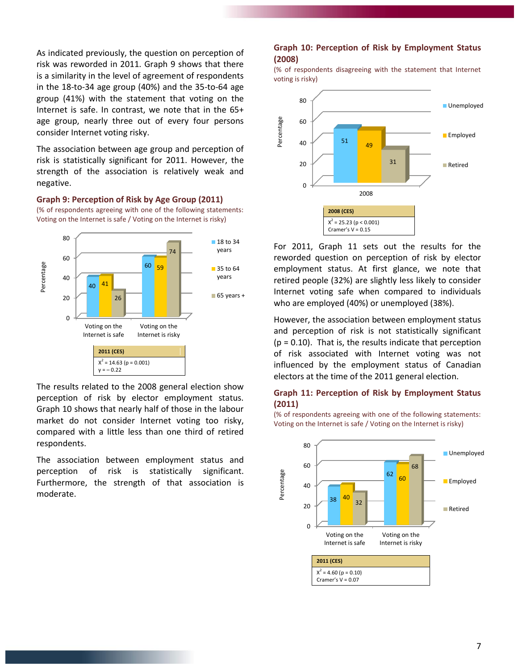As indicated previously, the question on perception of risk was reworded in 2011. Graph 9 shows that there is a similarity in the level of agreement of respondents in the 18-to-34 age group (40%) and the 35-to-64 age group (41%) with the statement that voting on the Internet is safe. In contrast, we note that in the 65+ age group, nearly three out of every four persons consider Internet voting risky.

The association between age group and perception of risk is statistically significant for 2011. However, the strength of the association is relatively weak and negative.

**Graph 9: Perception of Risk by Age Group (2011)** (% of respondents agreeing with one of the following statements: Voting on the Internet is safe / Voting on the Internet is risky)



The results related to the 2008 general election show perception of risk by elector employment status. Graph 10 shows that nearly half of those in the labour market do not consider Internet voting too risky, compared with a little less than one third of retired respondents.

The association between employment status and perception of risk is statistically significant. Furthermore, the strength of that association is moderate.

#### **Graph 10: Perception of Risk by Employment Status (2008)**

(% of respondents disagreeing with the statement that Internet voting is risky)



For 2011, Graph 11 sets out the results for the reworded question on perception of risk by elector employment status. At first glance, we note that retired people (32%) are slightly less likely to consider Internet voting safe when compared to individuals who are employed (40%) or unemployed (38%).

However, the association between employment status and perception of risk is not statistically significant  $(p = 0.10)$ . That is, the results indicate that perception of risk associated with Internet voting was not influenced by the employment status of Canadian electors at the time of the 2011 general election.

#### **Graph 11: Perception of Risk by Employment Status (2011)**

(% of respondents agreeing with one of the following statements: Voting on the Internet is safe / Voting on the Internet is risky)

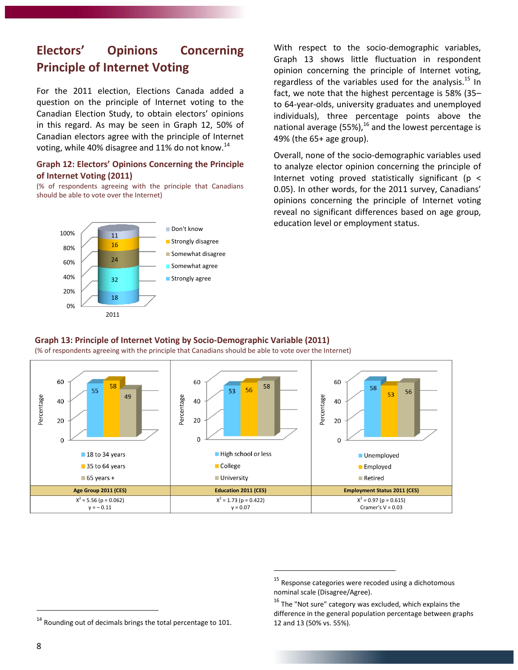# **Electors' Opinions Concerning Principle of Internet Voting**

For the 2011 election, Elections Canada added a question on the principle of Internet voting to the Canadian Election Study, to obtain electors' opinions in this regard. As may be seen in Graph 12, 50% of Canadian electors agree with the principle of Internet voting, while 40% disagree and 11% do not know.<sup>14</sup>

#### **Graph 12: Electors' Opinions Concerning the Principle of Internet Voting (2011)**

(% of respondents agreeing with the principle that Canadians should be able to vote over the Internet)



With respect to the socio-demographic variables, Graph 13 shows little fluctuation in respondent opinion concerning the principle of Internet voting, regardless of the variables used for the analysis. $^{15}$  In fact, we note that the highest percentage is 58% (35– to 64-year-olds, university graduates and unemployed individuals), three percentage points above the national average (55%), $^{16}$  and the lowest percentage is 49% (the 65+ age group).

Overall, none of the socio-demographic variables used to analyze elector opinion concerning the principle of Internet voting proved statistically significant ( $p <$ 0.05). In other words, for the 2011 survey, Canadians' opinions concerning the principle of Internet voting reveal no significant differences based on age group, education level or employment status.

#### **Graph 13: Principle of Internet Voting by Socio-Demographic Variable (2011)**

(% of respondents agreeing with the principle that Canadians should be able to vote over the Internet)



 $\overline{a}$ 

<sup>&</sup>lt;sup>15</sup> Response categories were recoded using a dichotomous nominal scale (Disagree/Agree).

 $16$  The "Not sure" category was excluded, which explains the difference in the general population percentage between graphs 12 and 13 (50% vs. 55%).

 $14$  Rounding out of decimals brings the total percentage to 101.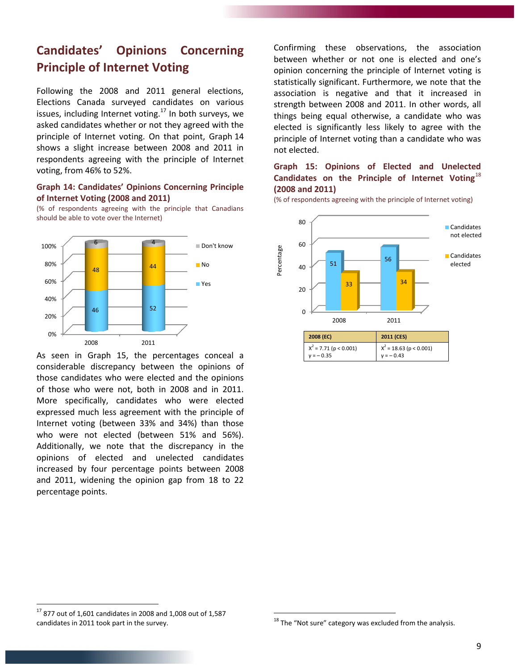## **Candidates' Opinions Concerning Principle of Internet Voting**

Following the 2008 and 2011 general elections, Elections Canada surveyed candidates on various issues, including Internet voting.<sup>17</sup> In both surveys, we asked candidates whether or not they agreed with the principle of Internet voting. On that point, Graph 14 shows a slight increase between 2008 and 2011 in respondents agreeing with the principle of Internet voting, from 46% to 52%.

#### **Graph 14: Candidates' Opinions Concerning Principle of Internet Voting (2008 and 2011)**

(% of respondents agreeing with the principle that Canadians should be able to vote over the Internet)



As seen in Graph 15, the percentages conceal a considerable discrepancy between the opinions of those candidates who were elected and the opinions of those who were not, both in 2008 and in 2011. More specifically, candidates who were elected expressed much less agreement with the principle of Internet voting (between 33% and 34%) than those who were not elected (between 51% and 56%). Additionally, we note that the discrepancy in the opinions of elected and unelected candidates increased by four percentage points between 2008 and 2011, widening the opinion gap from 18 to 22 percentage points.

Confirming these observations, the association between whether or not one is elected and one's opinion concerning the principle of Internet voting is statistically significant. Furthermore, we note that the association is negative and that it increased in strength between 2008 and 2011. In other words, all things being equal otherwise, a candidate who was elected is significantly less likely to agree with the principle of Internet voting than a candidate who was not elected.

#### **Graph 15: Opinions of Elected and Unelected Candidates on the Principle of Internet Voting**<sup>18</sup> **(2008 and 2011)**

(% of respondents agreeing with the principle of Internet voting)



 $\overline{a}$ 

 $17$  877 out of 1,601 candidates in 2008 and 1,008 out of 1,587 candidates in 2011 took part in the survey.

 $18$  The "Not sure" category was excluded from the analysis.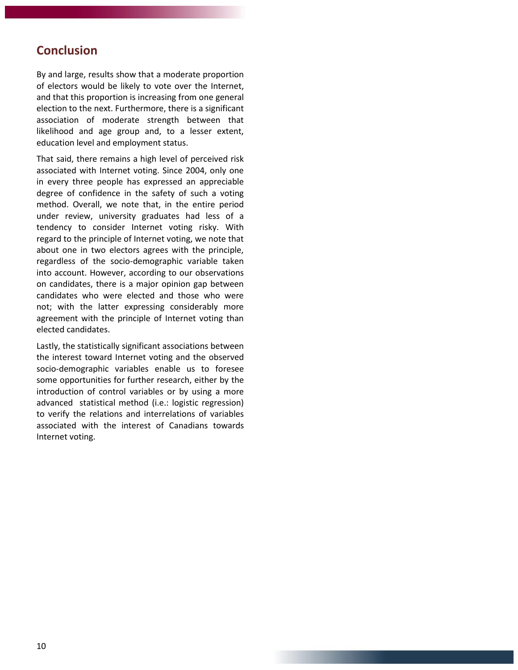### **Conclusion**

By and large, results show that a moderate proportion of electors would be likely to vote over the Internet, and that this proportion is increasing from one general election to the next. Furthermore, there is a significant association of moderate strength between that likelihood and age group and, to a lesser extent, education level and employment status.

That said, there remains a high level of perceived risk associated with Internet voting. Since 2004, only one in every three people has expressed an appreciable degree of confidence in the safety of such a voting method. Overall, we note that, in the entire period under review, university graduates had less of a tendency to consider Internet voting risky. With regard to the principle of Internet voting, we note that about one in two electors agrees with the principle, regardless of the socio-demographic variable taken into account. However, according to our observations on candidates, there is a major opinion gap between candidates who were elected and those who were not; with the latter expressing considerably more agreement with the principle of Internet voting than elected candidates.

Lastly, the statistically significant associations between the interest toward Internet voting and the observed socio-demographic variables enable us to foresee some opportunities for further research, either by the introduction of control variables or by using a more advanced statistical method (i.e.: logistic regression) to verify the relations and interrelations of variables associated with the interest of Canadians towards Internet voting.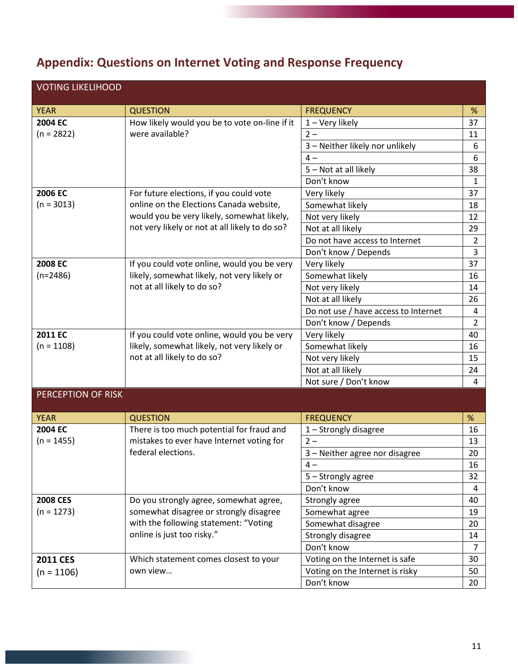# **Appendix: Questions on Internet Voting and Response Frequency**

| <b>VOTING LIKELIHOOD</b> |                                                |                                      |                |  |
|--------------------------|------------------------------------------------|--------------------------------------|----------------|--|
| <b>YEAR</b>              | <b>QUESTION</b>                                | <b>FREQUENCY</b>                     | %              |  |
| 2004 EC                  | How likely would you be to vote on-line if it  | 1 - Very likely                      | 37             |  |
| $(n = 2822)$             | were available?                                | $2 -$                                | 11             |  |
|                          |                                                | 3 - Neither likely nor unlikely      | 6              |  |
|                          |                                                | $4-$                                 | 6              |  |
|                          |                                                | 5 - Not at all likely                | 38             |  |
|                          |                                                | Don't know                           | $\mathbf{1}$   |  |
| 2006 EC                  | For future elections, if you could vote        | Very likely                          | 37             |  |
| $(n = 3013)$             | online on the Elections Canada website,        | Somewhat likely                      | 18             |  |
|                          | would you be very likely, somewhat likely,     | Not very likely                      | 12             |  |
|                          | not very likely or not at all likely to do so? | Not at all likely                    | 29             |  |
|                          |                                                | Do not have access to Internet       | $\overline{2}$ |  |
|                          |                                                | Don't know / Depends                 | $\overline{3}$ |  |
| 2008 EC                  | If you could vote online, would you be very    | Very likely                          | 37             |  |
| $(n=2486)$               | likely, somewhat likely, not very likely or    | Somewhat likely                      | 16             |  |
|                          | not at all likely to do so?                    | Not very likely                      | 14             |  |
|                          |                                                | Not at all likely                    | 26             |  |
|                          |                                                | Do not use / have access to Internet | 4              |  |
|                          |                                                | Don't know / Depends                 | $\overline{2}$ |  |
| 2011 EC                  | If you could vote online, would you be very    | Very likely                          | 40             |  |
| $(n = 1108)$             | likely, somewhat likely, not very likely or    | Somewhat likely                      | 16             |  |
|                          | not at all likely to do so?                    | Not very likely                      | 15             |  |
|                          |                                                | Not at all likely                    | 24             |  |
|                          |                                                | Not sure / Don't know                | 4              |  |
| PERCEPTION OF RISK       |                                                |                                      |                |  |
| <b>YEAR</b>              | <b>QUESTION</b>                                | <b>FREQUENCY</b>                     | $\%$           |  |
| 2004 EC                  | There is too much potential for fraud and      | 1 - Strongly disagree                | 16             |  |
| $(n = 1455)$             | mistakes to ever have Internet voting for      | $2 -$                                | 13             |  |
|                          | federal elections.                             | 3 - Neither agree nor disagree       | 20             |  |
|                          |                                                | $4-$                                 | 16             |  |
|                          |                                                | 5 - Strongly agree                   | 32             |  |
|                          |                                                | Don't know                           | 4              |  |
| <b>2008 CES</b>          | Do you strongly agree, somewhat agree,         | Strongly agree                       | 40             |  |
| $(n = 1273)$             | somewhat disagree or strongly disagree         | Somewhat agree                       | 19             |  |
|                          | with the following statement: "Voting          | Somewhat disagree                    | 20             |  |
|                          | online is just too risky."                     | Strongly disagree                    | 14             |  |
|                          |                                                | Don't know                           | $\overline{7}$ |  |
| <b>2011 CES</b>          | Which statement comes closest to your          | Voting on the Internet is safe       | 30             |  |
| $(n = 1106)$             | own view                                       | Voting on the Internet is risky      | 50             |  |
|                          |                                                | Don't know                           | 20             |  |